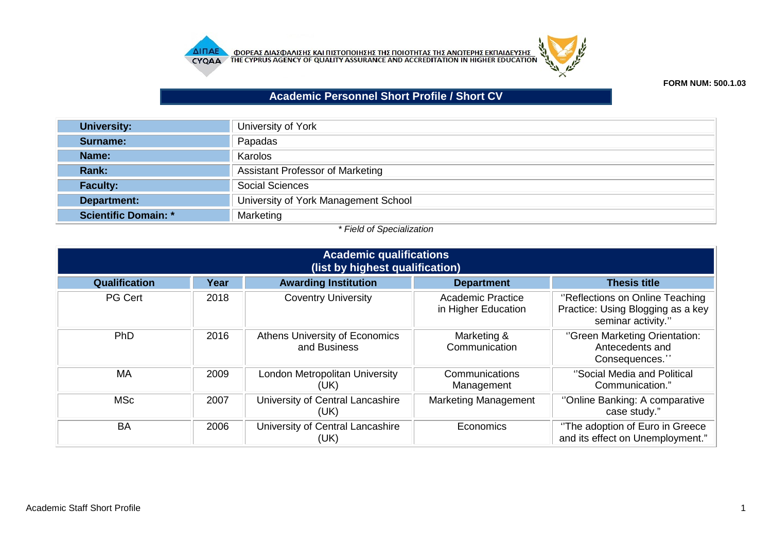



**FORM NUM: 500.1.03**

## **Academic Personnel Short Profile / Short CV**

| <b>University:</b>          | University of York                      |
|-----------------------------|-----------------------------------------|
| Surname:                    | Papadas                                 |
| Name:                       | Karolos                                 |
| Rank:                       | <b>Assistant Professor of Marketing</b> |
| <b>Faculty:</b>             | <b>Social Sciences</b>                  |
| Department:                 | University of York Management School    |
| <b>Scientific Domain: *</b> | Marketing                               |

## *\* Field of Specialization*

| <b>Academic qualifications</b><br>(list by highest qualification) |      |                                                       |                                                 |                                                                                             |
|-------------------------------------------------------------------|------|-------------------------------------------------------|-------------------------------------------------|---------------------------------------------------------------------------------------------|
| Qualification                                                     | Year | <b>Awarding Institution</b>                           | <b>Department</b>                               | <b>Thesis title</b>                                                                         |
| PG Cert                                                           | 2018 | <b>Coventry University</b>                            | <b>Academic Practice</b><br>in Higher Education | "Reflections on Online Teaching"<br>Practice: Using Blogging as a key<br>seminar activity." |
| <b>PhD</b>                                                        | 2016 | <b>Athens University of Economics</b><br>and Business | Marketing &<br>Communication                    | "Green Marketing Orientation:<br>Antecedents and<br>Consequences."                          |
| <b>MA</b>                                                         | 2009 | London Metropolitan University<br>(UK)                | Communications<br>Management                    | "Social Media and Political<br>Communication."                                              |
| <b>MSc</b>                                                        | 2007 | University of Central Lancashire<br>(UK)              | <b>Marketing Management</b>                     | "Online Banking: A comparative<br>case study."                                              |
| <b>BA</b>                                                         | 2006 | University of Central Lancashire<br>(UK)              | Economics                                       | "The adoption of Euro in Greece<br>and its effect on Unemployment."                         |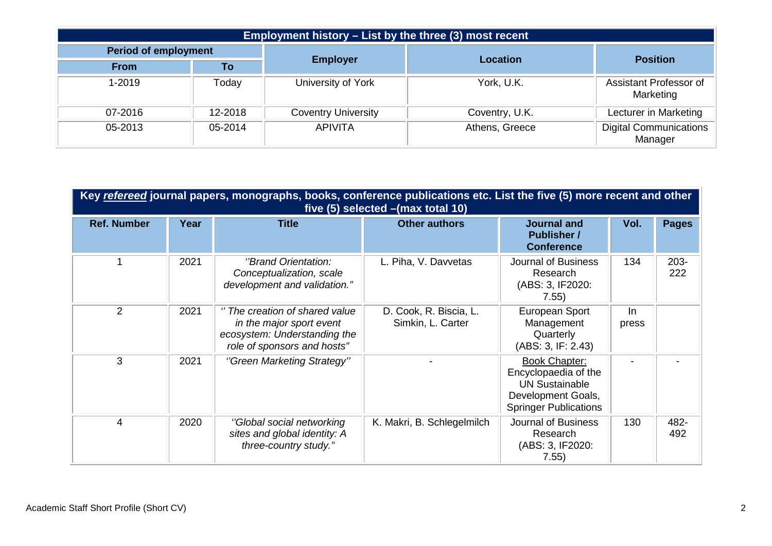| Employment history – List by the three (3) most recent |         |                            |                 |                                          |  |
|--------------------------------------------------------|---------|----------------------------|-----------------|------------------------------------------|--|
| <b>Period of employment</b>                            |         |                            | <b>Location</b> |                                          |  |
| <b>From</b>                                            | Тο      | <b>Employer</b>            |                 | <b>Position</b>                          |  |
| 1-2019                                                 | Today   | University of York         | York, U.K.      | Assistant Professor of<br>Marketing      |  |
| $07 - 2016$                                            | 12-2018 | <b>Coventry University</b> | Coventry, U.K.  | Lecturer in Marketing                    |  |
| 05-2013                                                | 05-2014 | <b>APIVITA</b>             | Athens, Greece  | <b>Digital Communications</b><br>Manager |  |

| Key refereed journal papers, monographs, books, conference publications etc. List the five (5) more recent and other<br>five $(5)$ selected $-(max total 10)$ |      |                                                                                                                           |                                             |                                                                                                                             |             |                |
|---------------------------------------------------------------------------------------------------------------------------------------------------------------|------|---------------------------------------------------------------------------------------------------------------------------|---------------------------------------------|-----------------------------------------------------------------------------------------------------------------------------|-------------|----------------|
| <b>Ref. Number</b>                                                                                                                                            | Year | <b>Title</b>                                                                                                              | <b>Other authors</b>                        | Journal and<br><b>Publisher /</b><br><b>Conference</b>                                                                      | Vol.        | <b>Pages</b>   |
|                                                                                                                                                               | 2021 | "Brand Orientation:<br>Conceptualization, scale<br>development and validation."                                           | L. Piha, V. Davvetas                        | Journal of Business<br>Research<br>(ABS: 3, IF2020:<br>7.55)                                                                | 134         | $203 -$<br>222 |
| $\overline{2}$                                                                                                                                                | 2021 | " The creation of shared value<br>in the major sport event<br>ecosystem: Understanding the<br>role of sponsors and hosts" | D. Cook, R. Biscia, L.<br>Simkin, L. Carter | European Sport<br>Management<br>Quarterly<br>(ABS: 3, IF: 2.43)                                                             | In<br>press |                |
| 3                                                                                                                                                             | 2021 | "Green Marketing Strategy"                                                                                                |                                             | <b>Book Chapter:</b><br>Encyclopaedia of the<br><b>UN Sustainable</b><br>Development Goals,<br><b>Springer Publications</b> |             |                |
| 4                                                                                                                                                             | 2020 | "Global social networking<br>sites and global identity: A<br>three-country study."                                        | K. Makri, B. Schlegelmilch                  | Journal of Business<br>Research<br>(ABS: 3, IF2020:<br>7.55)                                                                | 130         | 482-<br>492    |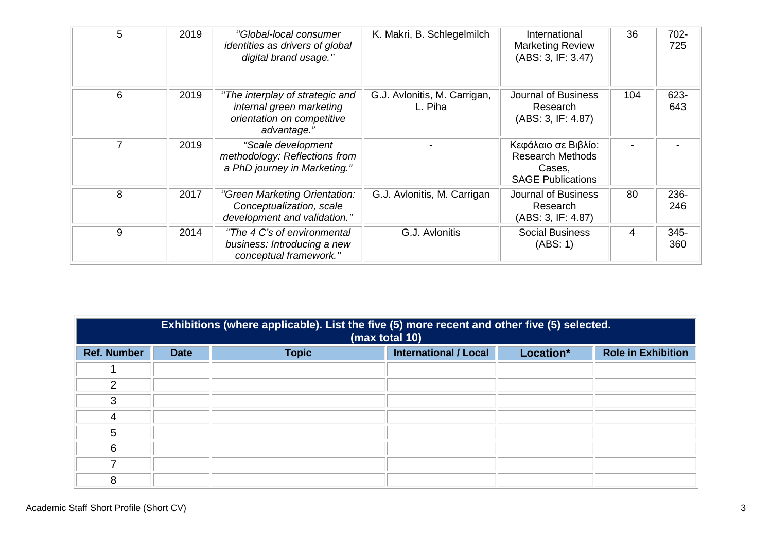| 5 | 2019 | "Global-local consumer<br>identities as drivers of global<br>digital brand usage."                       | K. Makri, B. Schlegelmilch              | International<br><b>Marketing Review</b><br>(ABS: 3, IF: 3.47)                       | 36  | 702-<br>725 |
|---|------|----------------------------------------------------------------------------------------------------------|-----------------------------------------|--------------------------------------------------------------------------------------|-----|-------------|
| 6 | 2019 | "The interplay of strategic and<br>internal green marketing<br>orientation on competitive<br>advantage." | G.J. Avlonitis, M. Carrigan,<br>L. Piha | <b>Journal of Business</b><br>Research<br>(ABS: 3, IF: 4.87)                         | 104 | 623-<br>643 |
|   | 2019 | "Scale development<br>methodology: Reflections from<br>a PhD journey in Marketing."                      |                                         | Κεφάλαιο σε Βιβλίο:<br><b>Research Methods</b><br>Cases,<br><b>SAGE Publications</b> |     |             |
| 8 | 2017 | "Green Marketing Orientation:<br>Conceptualization, scale<br>development and validation."                | G.J. Avlonitis, M. Carrigan             | Journal of Business<br>Research<br>(ABS: 3, IF: 4.87)                                | 80  | 236-<br>246 |
| 9 | 2014 | "The 4 C's of environmental<br>business: Introducing a new<br>conceptual framework."                     | G.J. Avlonitis                          | <b>Social Business</b><br>(ABS:1)                                                    | 4   | 345-<br>360 |

|                    | Exhibitions (where applicable). List the five (5) more recent and other five (5) selected.<br>(max total 10) |              |                              |           |                           |
|--------------------|--------------------------------------------------------------------------------------------------------------|--------------|------------------------------|-----------|---------------------------|
| <b>Ref. Number</b> | <b>Date</b>                                                                                                  | <b>Topic</b> | <b>International / Local</b> | Location* | <b>Role in Exhibition</b> |
|                    |                                                                                                              |              |                              |           |                           |
| $\mathcal{P}$      |                                                                                                              |              |                              |           |                           |
| 3                  |                                                                                                              |              |                              |           |                           |
| 4                  |                                                                                                              |              |                              |           |                           |
| 5                  |                                                                                                              |              |                              |           |                           |
| 6                  |                                                                                                              |              |                              |           |                           |
|                    |                                                                                                              |              |                              |           |                           |
| 8                  |                                                                                                              |              |                              |           |                           |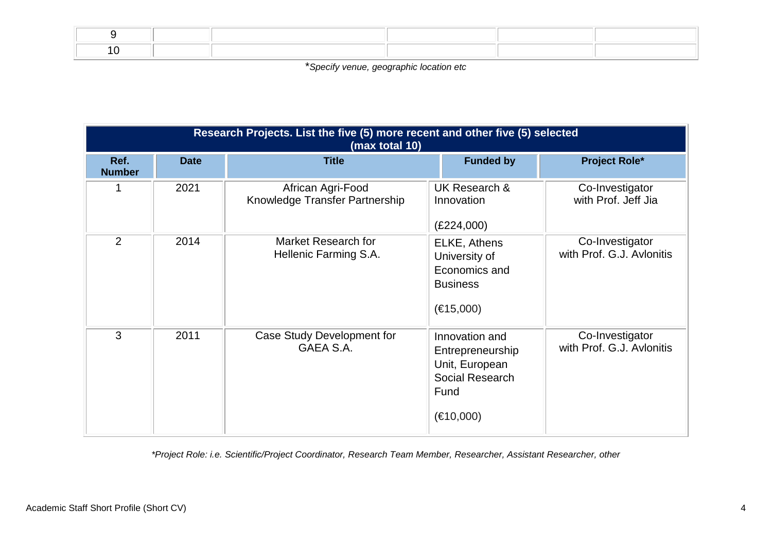\**Specify venue, geographic location etc*

|                       | Research Projects. List the five (5) more recent and other five (5) selected<br>(max total 10) |                                                     |                                                                                              |                                              |  |  |
|-----------------------|------------------------------------------------------------------------------------------------|-----------------------------------------------------|----------------------------------------------------------------------------------------------|----------------------------------------------|--|--|
| Ref.<br><b>Number</b> | <b>Date</b>                                                                                    | <b>Title</b>                                        | <b>Funded by</b>                                                                             | <b>Project Role*</b>                         |  |  |
|                       | 2021                                                                                           | African Agri-Food<br>Knowledge Transfer Partnership | UK Research &<br>Innovation<br>(E224,000)                                                    | Co-Investigator<br>with Prof. Jeff Jia       |  |  |
| 2                     | 2014                                                                                           | Market Research for<br>Hellenic Farming S.A.        | ELKE, Athens<br>University of<br>Economics and<br><b>Business</b><br>(€15,000)               | Co-Investigator<br>with Prof. G.J. Avlonitis |  |  |
| 3                     | 2011                                                                                           | Case Study Development for<br>GAEA S.A.             | Innovation and<br>Entrepreneurship<br>Unit, European<br>Social Research<br>Fund<br>(E10,000) | Co-Investigator<br>with Prof. G.J. Avlonitis |  |  |

*\*Project Role: i.e. Scientific/Project Coordinator, Research Team Member, Researcher, Assistant Researcher, other*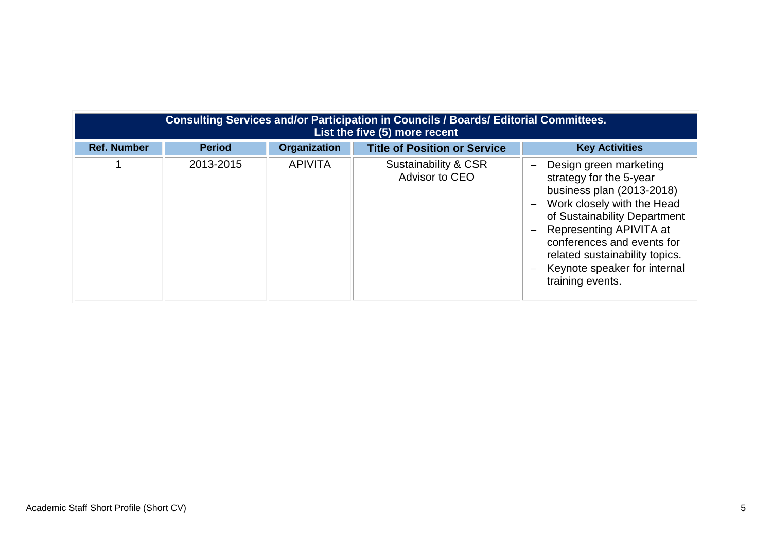|                    | Consulting Services and/or Participation in Councils / Boards/ Editorial Committees.<br>List the five (5) more recent |                     |                                        |                                                                                                                                                                                                                                                                                             |  |  |
|--------------------|-----------------------------------------------------------------------------------------------------------------------|---------------------|----------------------------------------|---------------------------------------------------------------------------------------------------------------------------------------------------------------------------------------------------------------------------------------------------------------------------------------------|--|--|
| <b>Ref. Number</b> | <b>Period</b>                                                                                                         | <b>Organization</b> | <b>Title of Position or Service</b>    | <b>Key Activities</b>                                                                                                                                                                                                                                                                       |  |  |
|                    | 2013-2015                                                                                                             | <b>APIVITA</b>      | Sustainability & CSR<br>Advisor to CEO | Design green marketing<br>strategy for the 5-year<br>business plan (2013-2018)<br>Work closely with the Head<br>of Sustainability Department<br>Representing APIVITA at<br>conferences and events for<br>related sustainability topics.<br>Keynote speaker for internal<br>training events. |  |  |